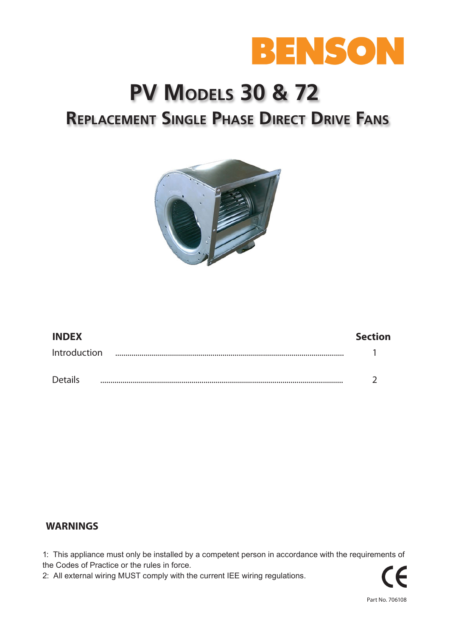

# **PV Models 30 & 72 Replacement Single Phase Direct Drive Fans**



| <b>INDEX</b>   |   | <b>Section</b> |
|----------------|---|----------------|
| Introduction   | . |                |
| <b>Details</b> |   |                |

## **WARNINGS**

1: This appliance must only be installed by a competent person in accordance with the requirements of the Codes of Practice or the rules in force.

2: All external wiring MUST comply with the current IEE wiring regulations.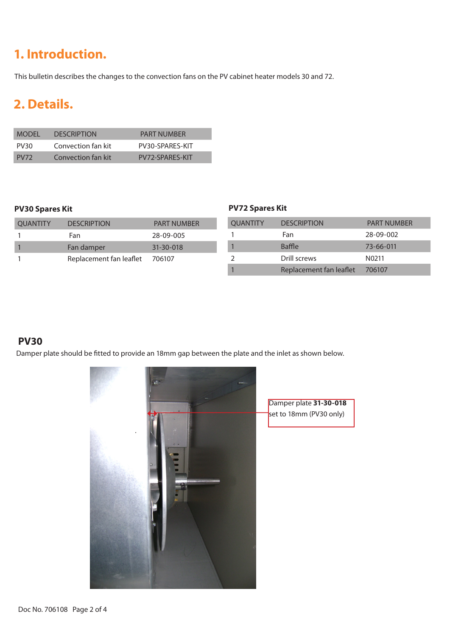## **1. Introduction.**

This bulletin describes the changes to the convection fans on the PV cabinet heater models 30 and 72.

## **2. Details.**

| <b>MODEL</b>     | <b>DESCRIPTION</b> | <b>PART NUMBER</b> |
|------------------|--------------------|--------------------|
| PV <sub>30</sub> | Convection fan kit | PV30-SPARES-KIT    |
| PV <sub>72</sub> | Convection fan kit | PV72-SPARFS-KIT    |

| <b>OUANTITY</b> | <b>DESCRIPTION</b>      | <b>PART NUMBER</b> |
|-----------------|-------------------------|--------------------|
|                 | Fan                     | 28-09-005          |
|                 | Fan damper              | $31 - 30 - 018$    |
|                 | Replacement fan leaflet | 706107             |

### **PV30 Spares Kit PV72 Spares Kit**

| <b>OUANTITY</b> | <b>DESCRIPTION</b>      | <b>PART NUMBER</b> |
|-----------------|-------------------------|--------------------|
|                 | Fan                     | 28-09-002          |
|                 | Baffle                  | 73-66-011          |
|                 | Drill screws            | N <sub>0211</sub>  |
|                 | Replacement fan leaflet | 706107             |

## **PV30**

Damper plate should be fitted to provide an 18mm gap between the plate and the inlet as shown below.

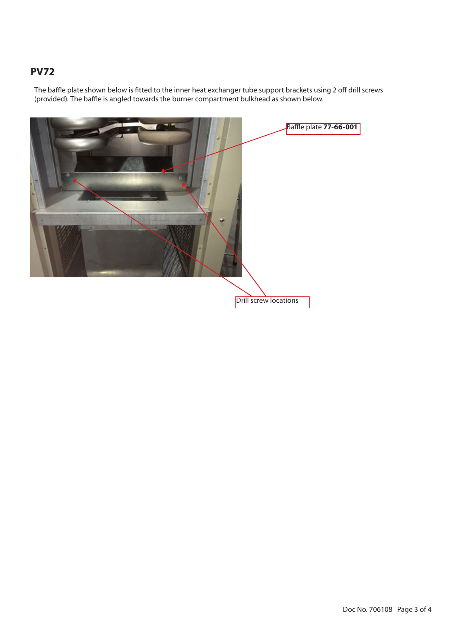## **PV72**

The baffle plate shown below is fitted to the inner heat exchanger tube support brackets using 2 off drill screws (provided). The baffle is angled towards the burner compartment bulkhead as shown below.